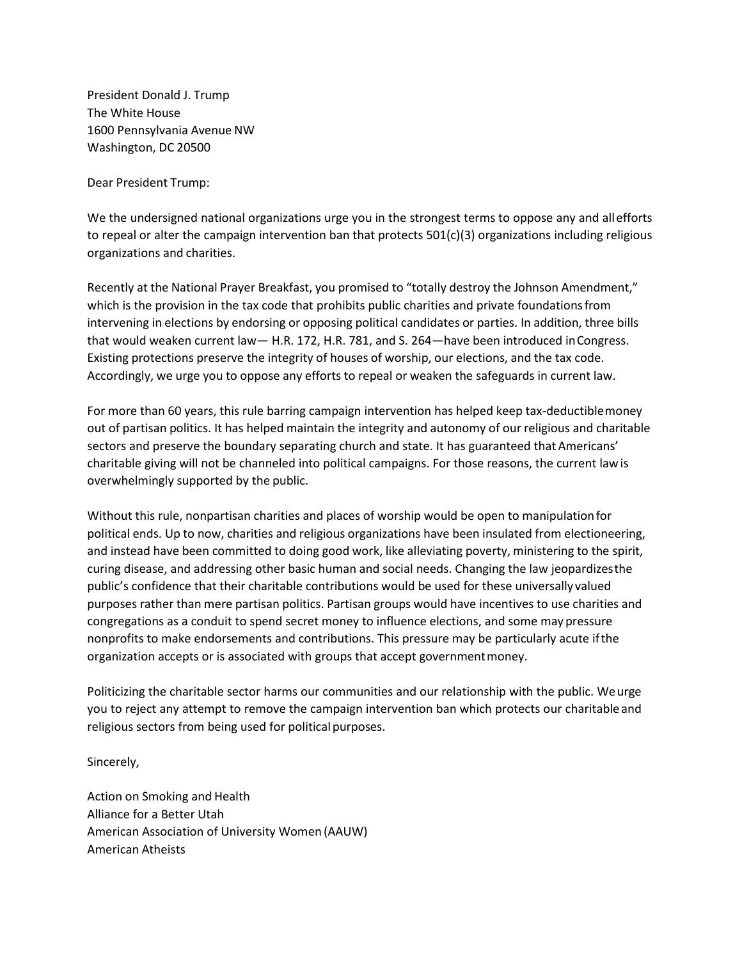President Donald J. Trump The White House 1600 Pennsylvania Avenue NW Washington, DC 20500

Dear President Trump:

We the undersigned national organizations urge you in the strongest terms to oppose any and allefforts to repeal or alter the campaign intervention ban that protects 501(c)(3) organizations including religious organizations and charities.

Recently at the National Prayer Breakfast, you promised to "totally destroy the Johnson Amendment," which is the provision in the tax code that prohibits public charities and private foundationsfrom intervening in elections by endorsing or opposing political candidates or parties. In addition, three bills that would weaken current law— H.R. 172, H.R. 781, and S. 264—have been introduced inCongress. Existing protections preserve the integrity of houses of worship, our elections, and the tax code. Accordingly, we urge you to oppose any efforts to repeal or weaken the safeguards in current law.

For more than 60 years, this rule barring campaign intervention has helped keep tax-deductiblemoney out of partisan politics. It has helped maintain the integrity and autonomy of our religious and charitable sectors and preserve the boundary separating church and state. It has guaranteed that Americans' charitable giving will not be channeled into political campaigns. For those reasons, the current lawis overwhelmingly supported by the public.

Without this rule, nonpartisan charities and places of worship would be open to manipulationfor political ends. Up to now, charities and religious organizations have been insulated from electioneering, and instead have been committed to doing good work, like alleviating poverty, ministering to the spirit, curing disease, and addressing other basic human and social needs. Changing the law jeopardizesthe public's confidence that their charitable contributions would be used for these universally valued purposes rather than mere partisan politics. Partisan groups would have incentives to use charities and congregations as a conduit to spend secret money to influence elections, and some may pressure nonprofits to make endorsements and contributions. This pressure may be particularly acute ifthe organization accepts or is associated with groups that accept governmentmoney.

Politicizing the charitable sector harms our communities and our relationship with the public. Weurge you to reject any attempt to remove the campaign intervention ban which protects our charitable and religious sectors from being used for political purposes.

Sincerely,

Action on Smoking and Health Alliance for a Better Utah American Association of University Women (AAUW) American Atheists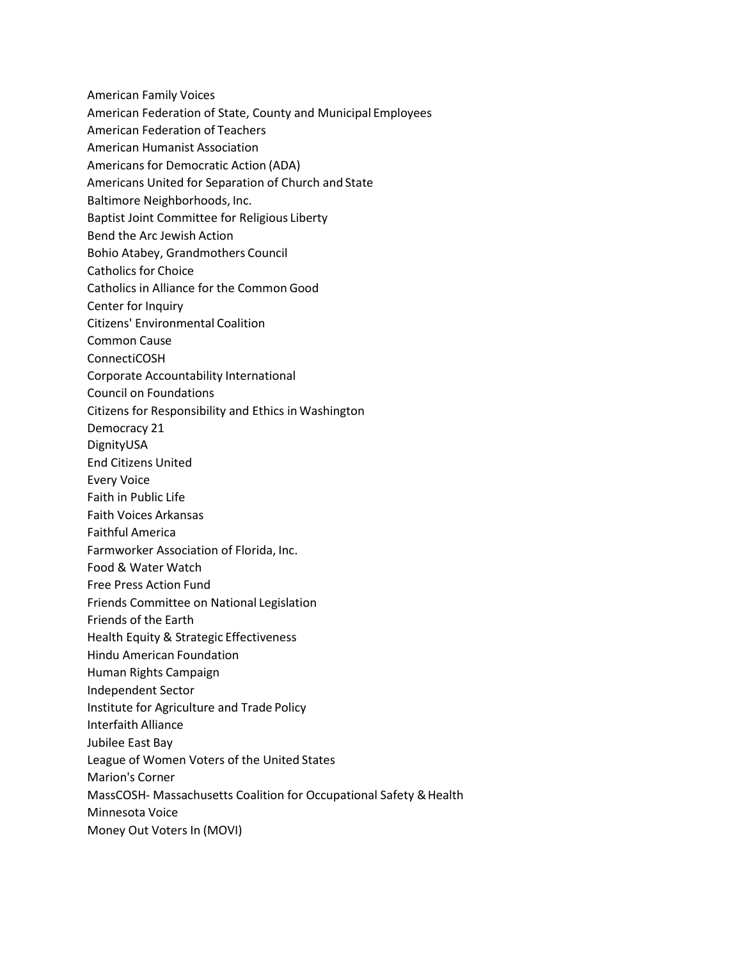American Family Voices

- American Federation of State, County and Municipal Employees
- American Federation of Teachers
- American Humanist Association
- Americans for Democratic Action (ADA)
- Americans United for Separation of Church and State
- Baltimore Neighborhoods, Inc.
- Baptist Joint Committee for Religious Liberty
- Bend the Arc Jewish Action
- Bohio Atabey, Grandmothers Council
- Catholics for Choice
- Catholics in Alliance for the Common Good
- Center for Inquiry
- Citizens' Environmental Coalition
- Common Cause
- ConnectiCOSH
- Corporate Accountability International
- Council on Foundations
- Citizens for Responsibility and Ethics in Washington
- Democracy 21
- DignityUSA
- End Citizens United
- Every Voice
- Faith in Public Life
- Faith Voices Arkansas
- Faithful America
- Farmworker Association of Florida, Inc.
- Food & Water Watch
- Free Press Action Fund
- Friends Committee on National Legislation
- Friends of the Earth
- Health Equity & Strategic Effectiveness
- Hindu American Foundation
- Human Rights Campaign
- Independent Sector
- Institute for Agriculture and Trade Policy
- Interfaith Alliance
- Jubilee East Bay
- League of Women Voters of the United States
- Marion's Corner
- MassCOSH- Massachusetts Coalition for Occupational Safety & Health
- Minnesota Voice
- Money Out Voters In (MOVI)